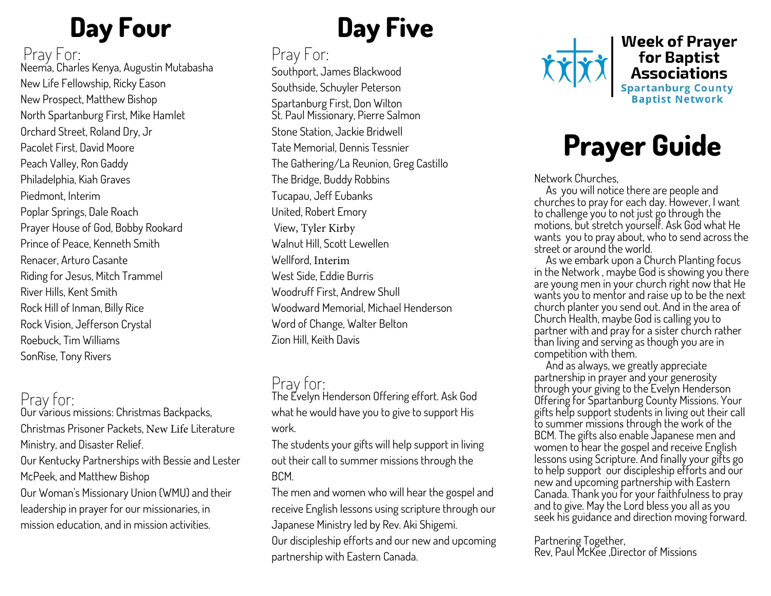# **Day Four**

#### Pray For:

Neema, Charles Kenya, Augustin Mutabasha New Life Fellowship, Ricky Eason New Prospect, Matthew Bishop North Spartanburg First, Mike Hamlet Orchard Street, Roland Dry, Jr Pacolet First, David Moore Peach Valley, Ron Gaddy Philadelphia, Kiah Graves Piedmont, Interim Poplar Springs, Dale Roach Prayer House of God, Bobby Rookard Prince of Peace, Kenneth Smith Renacer, Arturo Casante Riding for Jesus, Mitch Trammel River Hills, Kent Smith Rock Hill of Inman, Billy Rice Rock Vision, Jefferson Crystal Roebuck, Tim Williams SonRise, Tony Rivers

#### Pray for:

Our various missions: Christmas Backpacks, Christmas Prisoner Packets, New Life Literature Ministry, and Disaster Relief. Our Kentucky Partnerships with Bessie and Lester McPeek, and Matthew Bishop

Our Woman's Missionary Union (WMU) and their leadership in prayer for our missionaries, in mission education, and in mission activities.

# **Day Five**

Pray For: Southport, James Blackwood Southside, Schuyler Peterson Spartanburg First, Don Wilton St. Paul Missionary, Pierre Salmon Stone Station, Jackie Bridwell Tate Memorial, Dennis Tessnier The Gathering/La Reunion, Greg Castillo The Bridge, Buddy Robbins Tucapau, Jeff Eubanks United, Robert Emory View, Tyler Kirby Walnut Hill, Scott Lewellen Wellford, Interim West Side, Eddie Burris Woodruff First, Andrew Shull Woodward Memorial, Michael Henderson Word of Change, Walter Belton Zion Hill, Keith Davis

#### Pray for:

The Evelyn Henderson Offering effort. Ask God what he would have you to give to support His work.

The students your gifts will help support in living out their call to summer missions through the BCM.

The men and women who will hear the gospel and receive English lessons using scripture through our Japanese Ministry led by Rev. Aki Shigemi. Our discipleship efforts and our new and upcoming partnership with Eastern Canada.



**Week of Prayer France Community**<br>**Associations**<br>Spartanburg County<br>Baptist Network

# **Prayer Guide**

Network Churches,

 As you will notice there are people and churches to pray for each day. However, I want to challenge you to not just go through the motions, but stretch yourself. Ask God what He wants you to pray about, who to send across the street or around the world.

 As we embark upon a Church Planting focus in the Network , maybe God is showing you there are young men in your church right now that He wants you to mentor and raise up to be the next church planter you send out. And in the area of Church Health, maybe God is calling you to partner with and pray for a sister church rather than living and serving as though you are in competition with them.

 And as always, we greatly appreciate partnership in prayer and your generosity through your giving to the Evelyn Henderson Offering for Spartanburg County Missions. Your gifts help support students in living out their call to summer missions through the work of the BCM. The gifts also enable Japanese men and women to hear the gospel and receive English lessons using Scripture. And finally your gifts go to help support our discipleship efforts and our new and upcoming partnership with Eastern Canada. Thank you for your faithfulness to pray and to give. May the Lord bless you all as you seek his guidance and direction moving forward.

Partnering Together, Rev, Paul McKee ,Director of Missions